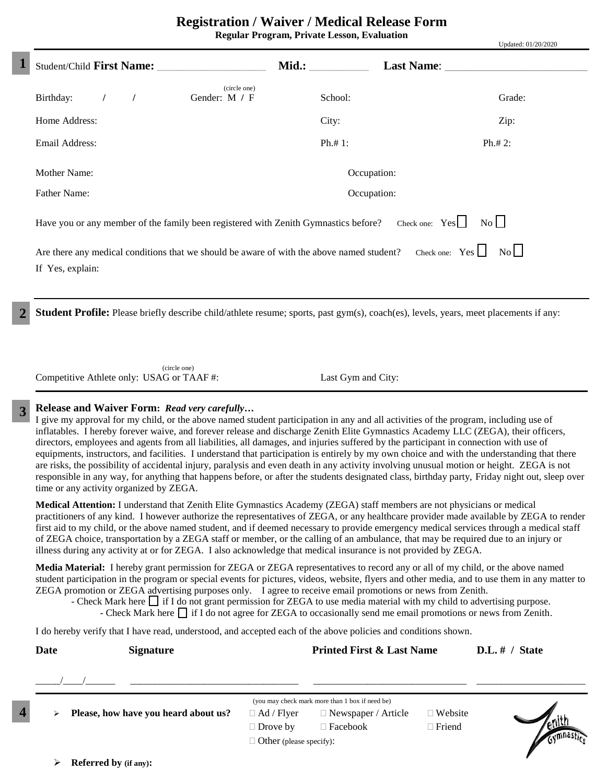**Regular Program, Private Lesson, Evaluation**

Updated: 01/20/2020

|                                                                                                                                                                                                                     |                    | $V$ <i>paarva.</i> $V1/2V/2V2V$     |  |  |
|---------------------------------------------------------------------------------------------------------------------------------------------------------------------------------------------------------------------|--------------------|-------------------------------------|--|--|
|                                                                                                                                                                                                                     |                    |                                     |  |  |
| (circle one)<br>Birthday:<br>Gender: M / F<br>$\prime$                                                                                                                                                              | School:            | Grade:                              |  |  |
| Home Address:                                                                                                                                                                                                       | City:              | Zip:                                |  |  |
| Email Address:                                                                                                                                                                                                      | Ph. # 1:           | $Ph.+ 2:$                           |  |  |
| Mother Name:                                                                                                                                                                                                        | Occupation:        |                                     |  |  |
| <b>Father Name:</b>                                                                                                                                                                                                 | Occupation:        |                                     |  |  |
| Have you or any member of the family been registered with Zenith Gymnastics before? Check one: Yes<br>Are there any medical conditions that we should be aware of with the above named student?<br>If Yes, explain: |                    | No<br>Check one: $Yes \Box No \Box$ |  |  |
| <b>Student Profile:</b> Please briefly describe child/athlete resume; sports, past gym(s), coach(es), levels, years, meet placements if any:                                                                        |                    |                                     |  |  |
| (circle one)<br>Competitive Athlete only: USAG or TAAF#:                                                                                                                                                            | Last Gym and City: |                                     |  |  |

## **Release and Waiver Form:** *Read very carefully…*

**1**

**3**

**2**

**4**

I give my approval for my child, or the above named student participation in any and all activities of the program, including use of inflatables. I hereby forever waive, and forever release and discharge Zenith Elite Gymnastics Academy LLC (ZEGA), their officers, directors, employees and agents from all liabilities, all damages, and injuries suffered by the participant in connection with use of equipments, instructors, and facilities. I understand that participation is entirely by my own choice and with the understanding that there are risks, the possibility of accidental injury, paralysis and even death in any activity involving unusual motion or height. ZEGA is not responsible in any way, for anything that happens before, or after the students designated class, birthday party, Friday night out, sleep over time or any activity organized by ZEGA.

**Medical Attention:** I understand that Zenith Elite Gymnastics Academy (ZEGA) staff members are not physicians or medical practitioners of any kind. I however authorize the representatives of ZEGA, or any healthcare provider made available by ZEGA to render first aid to my child, or the above named student, and if deemed necessary to provide emergency medical services through a medical staff of ZEGA choice, transportation by a ZEGA staff or member, or the calling of an ambulance, that may be required due to an injury or illness during any activity at or for ZEGA. I also acknowledge that medical insurance is not provided by ZEGA.

**Media Material:** I hereby grant permission for ZEGA or ZEGA representatives to record any or all of my child, or the above named student participation in the program or special events for pictures, videos, website, flyers and other media, and to use them in any matter to ZEGA promotion or ZEGA advertising purposes only. I agree to receive email promotions or news from Zenith.

- Check Mark hereif I do not grant permission for ZEGA to use media material with my child to advertising purpose.

- Check Mark hereif I do not agree for ZEGA to occasionally send me email promotions or news from Zenith.

I do hereby verify that I have read, understood, and accepted each of the above policies and conditions shown.

| <b>Date</b> | <b>Signature</b>                     |                                | <b>Printed First &amp; Last Name</b>            |                | $D.L.$ # / State |
|-------------|--------------------------------------|--------------------------------|-------------------------------------------------|----------------|------------------|
|             |                                      |                                |                                                 |                |                  |
|             |                                      |                                | (you may check mark more than 1 box if need be) |                |                  |
| ⋗           | Please, how have you heard about us? | $\Box$ Ad / Flyer              | $\Box$ Newspaper / Article                      | $\Box$ Website |                  |
|             |                                      | $\Box$ Drove by                | $\Box$ Facebook                                 | $\Box$ Friend  |                  |
|             |                                      | $\Box$ Other (please specify): |                                                 |                |                  |